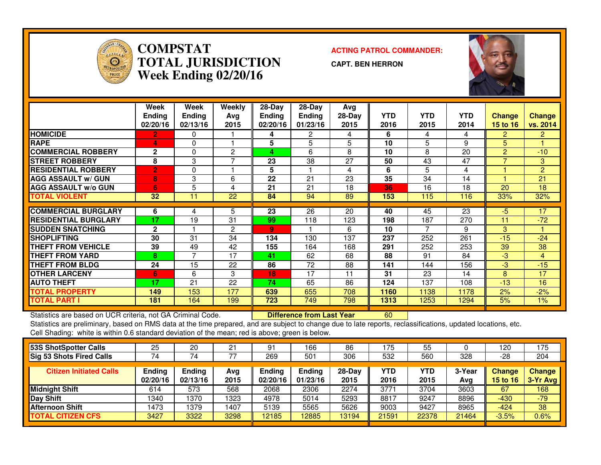

### **COMPSTATACTING PATROL COMMANDER:**<br> **ACTING PATROL COMMANDER: TOTAL JURISDICTIONWeek Ending 02/20/16**

**CAPT. BEN HERRON**



|                             | Week<br><b>Ending</b><br>02/20/16 | Week<br><b>Ending</b><br>02/13/16 | Weekly<br>Ava<br>2015 | $28-Day$<br><b>Ending</b><br>02/20/16 | $28-Day$<br><b>Ending</b><br>01/23/16 | Avg<br>$28-Day$<br>2015 | <b>YTD</b><br>2016 | <b>YTD</b><br>2015 | YTD.<br>2014 | <b>Change</b><br>15 to 16 | <b>Change</b><br>vs. 2014 |
|-----------------------------|-----------------------------------|-----------------------------------|-----------------------|---------------------------------------|---------------------------------------|-------------------------|--------------------|--------------------|--------------|---------------------------|---------------------------|
| <b>HOMICIDE</b>             | 2.                                | 0                                 |                       | 4                                     | 2                                     | 4                       | 6                  | 4                  | 4            | $\mathbf{2}$              | $\overline{2}$            |
| <b>RAPE</b>                 | 4                                 | 0                                 |                       | 5                                     | 5                                     | 5                       | 10                 | 5                  | 9            | 5                         |                           |
| <b>COMMERCIAL ROBBERY</b>   | $\mathbf 2$                       | 0                                 | $\overline{2}$        | 4                                     | 6                                     | 8                       | 10                 | 8                  | 20           | $\overline{2}$            | $-10$                     |
| <b>STREET ROBBERY</b>       | 8                                 | 3                                 | ⇁                     | 23                                    | 38                                    | 27                      | 50                 | 43                 | 47           |                           | 3                         |
| <b>RESIDENTIAL ROBBERY</b>  | 2                                 | 0                                 |                       | 5                                     |                                       | 4                       | 6                  | 5                  | 4            |                           | $\overline{2}$            |
| <b>AGG ASSAULT w/ GUN</b>   | 8                                 | 3                                 | 6                     | 22                                    | 21                                    | 23                      | 35                 | 34                 | 14           |                           | 21                        |
| <b>AGG ASSAULT w/o GUN</b>  | 6                                 | 5                                 | 4                     | 21                                    | 21                                    | 18                      | 36                 | 16                 | 18           | 20                        | 18                        |
| <b>TOTAL VIOLENT</b>        | 32                                | 11                                | 22                    | 84                                    | 94                                    | 89                      | 153                | 115                | 116          | 33%                       | 32%                       |
|                             |                                   |                                   |                       |                                       |                                       |                         |                    |                    |              |                           |                           |
| <b>COMMERCIAL BURGLARY</b>  | 6                                 | 4                                 | 5                     | 23                                    | 26                                    | 20                      | 40                 | 45                 | 23           | -5                        | 17                        |
| <b>RESIDENTIAL BURGLARY</b> | 17                                | 19                                | 31                    | 99                                    | 118                                   | 123                     | 198                | 187                | 270          | 11                        | $-72$                     |
| <b>SUDDEN SNATCHING</b>     | $\mathbf{2}$                      |                                   | 2                     | 9                                     |                                       | 6                       | 10                 | ⇁                  | 9            | 3                         |                           |
| <b>SHOPLIFTING</b>          | 30                                | 31                                | 34                    | 134                                   | 130                                   | 137                     | 237                | 252                | 261          | $-15$                     | $-24$                     |
| <b>THEFT FROM VEHICLE</b>   | 39                                | 49                                | 42                    | 155                                   | 164                                   | 168                     | 291                | 252                | 253          | 39                        | 38                        |
| <b>THEFT FROM YARD</b>      | 8                                 | 7                                 | 17                    | 41                                    | 62                                    | 68                      | 88                 | 91                 | 84           | $-3$                      | 4                         |
| <b>THEFT FROM BLDG</b>      | 24                                | 15                                | 22                    | 86                                    | 72                                    | 88                      | 141                | 144                | 156          | $-3$                      | $-15$                     |
| <b>OTHER LARCENY</b>        | 6                                 | 6                                 | 3                     | 18                                    | 17                                    | 11                      | 31                 | 23                 | 14           | 8                         | 17                        |
| <b>AUTO THEFT</b>           | 17                                | 21                                | 22                    | 74                                    | 65                                    | 86                      | 124                | 137                | 108          | $-13$                     | 16                        |
| <b>TOTAL PROPERTY</b>       | 149                               | 153                               | 177                   | 639                                   | 655                                   | 708                     | 1160               | 1138               | 1178         | 2%                        | $-2%$                     |
| <b>TOTAL PART I</b>         | 181                               | 164                               | 199                   | 723                                   | 749                                   | 798                     | 1313               | 1253               | 1294         | 5%                        | 1%                        |

Statistics are based on UCR criteria, not GA Criminal Code. **Difference from Last Year** 

Statistics are based on UCR criteria, not GA Criminal Code. **[16] Difference from Last Year [16] 2006**<br>Statistics are preliminary, based on RMS data at the time prepared, and are subject to change due to late reports, recl Cell Shading: white is within 0.6 standard deviation of the mean; red is above; green is below.

| 53S ShotSpotter Calls          | 25                        | 20                        | 21          | -91                | 166                       | 86               | 175                | 55          |               | 120                       | 175                  |
|--------------------------------|---------------------------|---------------------------|-------------|--------------------|---------------------------|------------------|--------------------|-------------|---------------|---------------------------|----------------------|
| Sig 53 Shots Fired Calls       | 74                        | 74                        | 77          | 269                | 501                       | 306              | 532                | 560         | 328           | $-28$                     | 204                  |
| <b>Citizen Initiated Calls</b> | <b>Ending</b><br>02/20/16 | <b>Ending</b><br>02/13/16 | Avg<br>2015 | Ending<br>02/20/16 | <b>Ending</b><br>01/23/16 | $28-Day$<br>2015 | <b>YTD</b><br>2016 | YTD<br>2015 | 3-Year<br>Avg | <b>Change</b><br>15 to 16 | Change<br>$3-Yr$ Avg |
| Midnight Shift                 | 614                       | 573                       | 568         | 2068               | 2306                      | 2274             | 3771               | 3704        | 3603          | 67                        | 168                  |
| Day Shift                      | 1340                      | 1370                      | 1323        | 4978               | 5014                      | 5293             | 8817               | 9247        | 8896          | $-430$                    | $-79$                |
| <b>Afternoon Shift</b>         | 1473                      | 1379                      | 1407        | 5139               | 5565                      | 5626             | 9003               | 9427        | 8965          | $-424$                    | 38                   |
| <b>TOTAL CITIZEN CFS</b>       | 3427                      | 3322                      | 3298        | 12185              | 12885                     | 13194            | 21591              | 22378       | 21464         | $-3.5%$                   | 0.6%                 |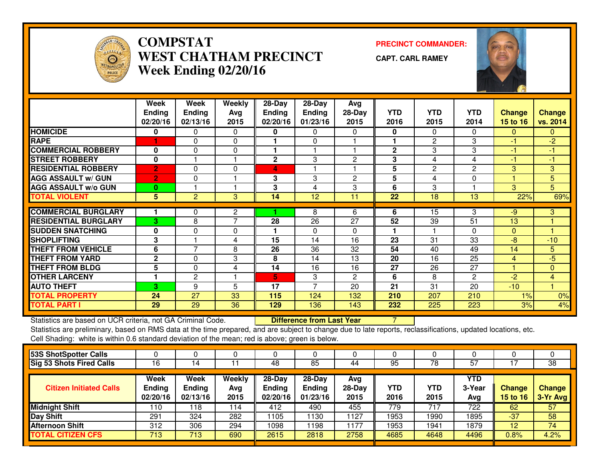

## **COMPSTAT PRECINCT COMMANDER: WEST CHATHAM PRECINCTWeek Ending 02/20/16**

**CAPT. CARL RAMEY**



|                             | Week            | Week           | Weekly         | 28-Day          | 28-Day         | Avg             |              |              |                |               |                 |
|-----------------------------|-----------------|----------------|----------------|-----------------|----------------|-----------------|--------------|--------------|----------------|---------------|-----------------|
|                             | <b>Ending</b>   | <b>Ending</b>  | Avg            | <b>Ending</b>   | Ending         | 28-Day          | <b>YTD</b>   | <b>YTD</b>   | <b>YTD</b>     | <b>Change</b> | <b>Change</b>   |
|                             | 02/20/16        | 02/13/16       | 2015           | 02/20/16        | 01/23/16       | 2015            | 2016         | 2015         | 2014           | 15 to 16      | vs. 2014        |
| <b>HOMICIDE</b>             | 0               | 0              | $\mathbf{0}$   | 0               | 0              | 0               | 0            | 0            | $\Omega$       | $\Omega$      | $\mathbf{0}$    |
| <b>RAPE</b>                 |                 | $\Omega$       | $\Omega$       |                 | $\mathbf{0}$   |                 |              | $\mathbf{2}$ | 3              | $-1$          | $-2$            |
| <b>COMMERCIAL ROBBERY</b>   | 0               | 0              | 0              |                 |                |                 | $\mathbf{2}$ | 3            | 3              | $-1$          | $-1$            |
| <b>STREET ROBBERY</b>       | $\mathbf 0$     |                |                | $\mathbf{2}$    | 3              | 2               | 3            | 4            | 4              | -1            | -1              |
| <b>RESIDENTIAL ROBBERY</b>  | $\overline{2}$  | 0              | 0              | 4               |                |                 | 5            | $\mathbf{2}$ | $\overline{c}$ | 3             | 3               |
| <b>AGG ASSAULT w/ GUN</b>   | $\overline{2}$  | 0              |                | 3               | 3              | $\overline{2}$  | 5            | 4            | 0              |               | 5               |
| <b>AGG ASSAULT w/o GUN</b>  | $\bf{0}$        |                |                | 3               | 4              | 3               | 6            | 3            |                | 3             | 5               |
| <b>TOTAL VIOLENT</b>        | 5               | 2              | 3              | 14              | 12             | 11              | 22           | 18           | 13             | 22%           | 69%             |
| <b>COMMERCIAL BURGLARY</b>  |                 | 0              | $\overline{2}$ |                 | 8              | 6               | 6            | 15           | 3              | -9            | 3               |
| <b>RESIDENTIAL BURGLARY</b> | $\overline{3}$  | 8              | 7              | 28              | 26             | 27              | 52           | 39           | 51             | 13            |                 |
| <b>SUDDEN SNATCHING</b>     | $\mathbf 0$     | $\Omega$       | 0              |                 | $\Omega$       | $\Omega$        |              |              | $\Omega$       | $\Omega$      |                 |
| <b>SHOPLIFTING</b>          | 3               |                | 4              | 15              | 14             | 16              | 23           | 31           | 33             | -8            | $-10$           |
| <b>THEFT FROM VEHICLE</b>   | 6               | $\overline{7}$ | 8              | 26              | 36             | 32              | 54           | 40           | 49             | 14            | $5\phantom{.0}$ |
| <b>THEFT FROM YARD</b>      | $\mathbf{2}$    | 0              | 3              | 8               | 14             | 13              | 20           | 16           | 25             | 4             | $-5$            |
| <b>THEFT FROM BLDG</b>      | $5\phantom{.0}$ | $\Omega$       | 4              | 14              | 16             | 16              | 27           | 26           | 27             |               | $\Omega$        |
| <b>OTHER LARCENY</b>        |                 | $\overline{2}$ |                | 5               | 3              | $\overline{2}$  | 6            | 8            | 2              | $-2$          | $\overline{4}$  |
| <b>AUTO THEFT</b>           | 3               | 9              | 5              | $\overline{17}$ | $\overline{7}$ | $\overline{20}$ | 21           | 31           | 20             | $-10$         |                 |
| <b>TOTAL PROPERTY</b>       | 24              | 27             | 33             | 115             | 124            | 132             | 210          | 207          | 210            | 1%            | 0%              |
| <b>TOTAL PART I</b>         | 29              | 29             | 36             | 129             | 136            | 143             | 232          | 225          | 223            | 3%            | 4%              |

Statistics are based on UCR criteria, not GA Criminal Code. **Difference from Last Year** 

Statistics are based on UCR criteria, not GA Criminal Code. **Difference from Last Year Schoof Partici**s are preliminary, based on RMS data at the time prepared, and are subject to change due to late reports, reclassificati Cell Shading: white is within 0.6 standard deviation of the mean; red is above; green is below.

| 53S ShotSpotter Calls           |                            |                                   |                       |                                     |                                       |                       |                    |             |                      |                           |                           |
|---------------------------------|----------------------------|-----------------------------------|-----------------------|-------------------------------------|---------------------------------------|-----------------------|--------------------|-------------|----------------------|---------------------------|---------------------------|
| <b>Sig 53 Shots Fired Calls</b> | 16                         | ، 4                               |                       | 48                                  | 85                                    | 44                    | 95                 | 78          | 57                   |                           | $\overline{38}$           |
| <b>Citizen Initiated Calls</b>  | Week<br>Ending<br>02/20/16 | Week<br><b>Ending</b><br>02/13/16 | Weekly<br>Avg<br>2015 | 28-Day<br><b>Ending</b><br>02/20/16 | $28-Dav$<br><b>Ending</b><br>01/23/16 | Avg<br>28-Day<br>2015 | <b>YTD</b><br>2016 | YTD<br>2015 | YTD<br>3-Year<br>Avg | Change<br><b>15 to 16</b> | <b>Change</b><br>3-Yr Avg |
| <b>Midnight Shift</b>           | 110                        | 118                               | 114                   | 412                                 | 490                                   | 455                   | 779                | 717         | 722                  | 62                        | 57                        |
| Day Shift                       | 291                        | 324                               | 282                   | 1105                                | 130                                   | 1127                  | 1953               | 1990        | 1895                 | $-37$                     | 58                        |
| <b>Afternoon Shift</b>          | 312                        | 306                               | 294                   | 1098                                | 198                                   | 1177                  | 1953               | 1941        | 1879                 | 12                        | 74                        |
| <b>TOTAL CITIZEN CFS</b>        | 713                        | 713                               | 690                   | 2615                                | 2818                                  | 2758                  | 4685               | 4648        | 4496                 | $0.8\%$                   | 4.2%                      |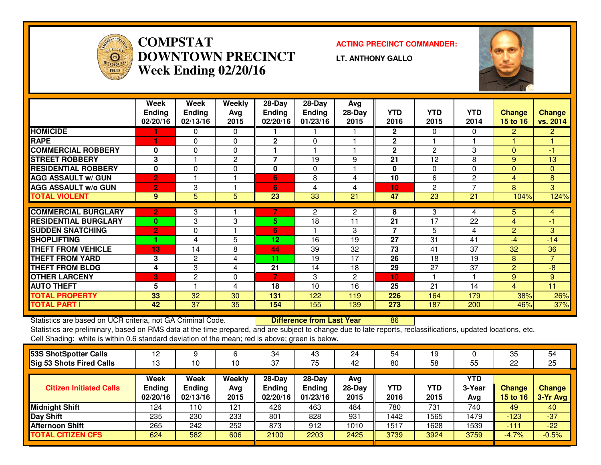

# **COMPSTAT ACTING PRECINCT COMMANDER: DOWNTOWN PRECINCTWeek Ending 02/20/16**

**LT. ANTHONY GALLO**



|                             | Week<br><b>Ending</b><br>02/20/16 | Week<br><b>Ending</b><br>02/13/16 | Weekly<br>Avg<br>2015 | $28-Day$<br><b>Ending</b><br>02/20/16 | $28-Day$<br><b>Ending</b><br>01/23/16 | Avg<br>$28-Day$<br>2015 | <b>YTD</b><br>2016 | <b>YTD</b><br>2015 | <b>YTD</b><br>2014 | Change<br>15 to 16 | <b>Change</b><br>vs. 2014 |
|-----------------------------|-----------------------------------|-----------------------------------|-----------------------|---------------------------------------|---------------------------------------|-------------------------|--------------------|--------------------|--------------------|--------------------|---------------------------|
| <b>HOMICIDE</b>             |                                   | 0                                 | $\Omega$              |                                       |                                       |                         | $\mathbf{2}$       | 0                  | $\Omega$           | $\overline{2}$     | $\overline{2}$            |
| <b>RAPE</b>                 | 1                                 | 0                                 | $\Omega$              | $\mathbf{2}$                          | 0                                     |                         | $\mathbf{2}$       |                    |                    |                    |                           |
| <b>COMMERCIAL ROBBERY</b>   | 0                                 | 0                                 | $\Omega$              | 1                                     |                                       |                         | $\mathbf{2}$       | $\overline{c}$     | 3                  | $\Omega$           | -1                        |
| <b>ISTREET ROBBERY</b>      | 3                                 |                                   | $\mathbf{2}$          | 7                                     | 19                                    | 9                       | 21                 | 12                 | 8                  | 9                  | 13                        |
| <b>RESIDENTIAL ROBBERY</b>  | $\bf{0}$                          | 0                                 | $\Omega$              | 0                                     | $\mathbf 0$                           |                         | $\bf{0}$           | 0                  | $\Omega$           | $\Omega$           | $\mathbf{0}$              |
| <b>AGG ASSAULT W/ GUN</b>   | $\overline{2}$                    |                                   |                       | 6                                     | 8                                     | 4                       | 10                 | 6                  | $\mathbf{2}$       | 4                  | 8                         |
| <b>AGG ASSAULT w/o GUN</b>  | $\overline{2}$                    | 3                                 |                       | $6\phantom{1}$                        | 4                                     | 4                       | 10                 | 2                  | $\overline{7}$     | 8                  | 3                         |
| <b>TOTAL VIOLENT</b>        | 9                                 | 5                                 | 5                     | 23                                    | 33                                    | 21                      | 47                 | 23                 | 21                 | 104%               | 124%                      |
| <b>COMMERCIAL BURGLARY</b>  | 2                                 | 3                                 |                       |                                       | 2                                     | 2                       | 8                  | 3                  | 4                  | 5.                 | 4                         |
| <b>RESIDENTIAL BURGLARY</b> | $\mathbf{0}$                      | 3                                 | 3                     | 5.                                    | 18                                    | 11                      | 21                 | 17                 | 22                 | 4                  | -1                        |
| <b>SUDDEN SNATCHING</b>     | $\overline{2}$                    | 0                                 |                       | 6                                     |                                       | 3                       | $\overline{7}$     | 5                  | 4                  | $\overline{2}$     | 3                         |
| <b>SHOPLIFTING</b>          | ◢                                 | 4                                 | 5                     | 12 <sub>2</sub>                       | 16                                    | 19                      | 27                 | 31                 | 41                 | $-4$               | $-14$                     |
| <b>THEFT FROM VEHICLE</b>   | 13                                | 14                                | 8                     | 44                                    | 39                                    | 32                      | 73                 | 41                 | $\overline{37}$    | 32                 | 36                        |
| <b>THEFT FROM YARD</b>      | 3                                 | 2                                 | 4                     | 11                                    | 19                                    | 17                      | 26                 | 18                 | 19                 | 8                  | $\overline{7}$            |
| <b>THEFT FROM BLDG</b>      | 4                                 | 3                                 | 4                     | 21                                    | 14                                    | 18                      | 29                 | 27                 | 37                 | $\overline{2}$     | -8                        |
| <b>OTHER LARCENY</b>        | 3                                 | 2                                 | 0                     | 7                                     | 3                                     | $\overline{c}$          | 10                 |                    |                    | 9                  | 9                         |
| <b>AUTO THEFT</b>           | 5                                 |                                   | 4                     | 18                                    | 10                                    | 16                      | 25                 | 21                 | 14                 | 4                  | 11                        |
| <b>TOTAL PROPERTY</b>       | 33                                | 32                                | 30                    | 131                                   | 122                                   | 119                     | 226                | 164                | 179                | 38%                | 26%                       |
| <b>TOTAL PART I</b>         | 42                                | 37                                | 35                    | 154                                   | 155                                   | 139                     | 273                | 187                | 200                | 46%                | 37%                       |

Statistics are based on UCR criteria, not GA Criminal Code. **Difference from Last Year** 

Statistics are based on UCR criteria, not GA Criminal Code. **Durich Luppe Interence from Last Year** New 186 New 1<br>Statistics are preliminary, based on RMS data at the time prepared, and are subject to change due to late re Cell Shading: white is within 0.6 standard deviation of the mean; red is above; green is below.

| 53S ShotSpotter Calls           | 12                                |                                   |                       | 34                                  | 43                                    | 24                      | 54          | 19          |                             | 35                 | 54                        |
|---------------------------------|-----------------------------------|-----------------------------------|-----------------------|-------------------------------------|---------------------------------------|-------------------------|-------------|-------------|-----------------------------|--------------------|---------------------------|
| <b>Sig 53 Shots Fired Calls</b> | 13                                | 10                                | 10                    | 37                                  | 75                                    | 42                      | 80          | 58          | 55                          | 22                 | 25                        |
| <b>Citizen Initiated Calls</b>  | Week<br><b>Ending</b><br>02/20/16 | Week<br><b>Ending</b><br>02/13/16 | Weekly<br>Avg<br>2015 | 28-Day<br><b>Ending</b><br>02/20/16 | $28-Day$<br><b>Ending</b><br>01/23/16 | Avg<br>$28-Day$<br>2015 | YTD<br>2016 | YTD<br>2015 | <b>YTD</b><br>3-Year<br>Avg | Change<br>15 to 16 | <b>Change</b><br>3-Yr Avg |
| <b>Midnight Shift</b>           | 124                               | 110                               | 121                   | 426                                 | 463                                   | 484                     | 780         | 731         | 740                         | 49                 | 40                        |
| Day Shift                       | 235                               | 230                               | 233                   | 801                                 | 828                                   | 931                     | 1442        | 1565        | 1479                        | $-123$             | $-37$                     |
| <b>Afternoon Shift</b>          | 265                               | 242                               | 252                   | 873                                 | 912                                   | 1010                    | 1517        | 1628        | 1539                        | <b>A111</b>        | $-22$                     |
| <b>TOTAL CITIZEN CFS</b>        | 624                               | 582                               | 606                   | 2100                                | 2203                                  | 2425                    | 3739        | 3924        | 3759                        | $-4.7%$            | $-0.5%$                   |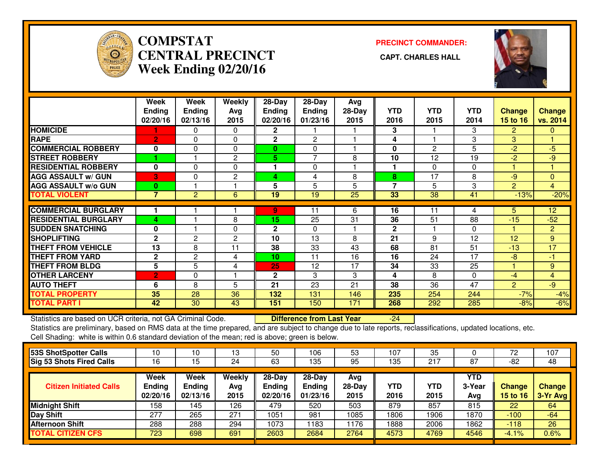

# **COMPSTAT PRECINCT COMMANDER: CENTRAL PRECINCT CAPT. CHARLES HALLWeek Ending 02/20/16**



|                             | Week<br><b>Ending</b><br>02/20/16 | Week<br><b>Ending</b><br>02/13/16 | Weekly<br>Avg<br>2015 | 28-Day<br><b>Ending</b><br>02/20/16 | $28$ -Day<br>Ending<br>01/23/16 | Avg<br>$28-Day$<br>2015 | <b>YTD</b><br>2016 | <b>YTD</b><br>2015 | <b>YTD</b><br>2014 | <b>Change</b><br>15 to 16 | <b>Change</b><br>vs. 2014 |
|-----------------------------|-----------------------------------|-----------------------------------|-----------------------|-------------------------------------|---------------------------------|-------------------------|--------------------|--------------------|--------------------|---------------------------|---------------------------|
| <b>HOMICIDE</b>             |                                   | 0                                 | $\mathbf{0}$          | 2                                   |                                 |                         | 3                  |                    | 3                  | $\overline{2}$            | $\mathbf{0}$              |
| <b>RAPE</b>                 | $\overline{2}$                    | $\Omega$                          | $\Omega$              | $\mathbf{2}$                        | $\overline{2}$                  |                         | 4                  |                    | 3                  | 3                         |                           |
| <b>COMMERCIAL ROBBERY</b>   | $\mathbf{0}$                      | $\Omega$                          | $\Omega$              | $\mathbf{0}$                        | 0                               |                         | $\bf{0}$           | $\mathbf{2}$       | 5                  | $-2$                      | $-5$                      |
| <b>STREET ROBBERY</b>       |                                   |                                   | $\mathbf{2}$          | 5.                                  | 7                               | 8                       | 10                 | 12                 | 19                 | $-2$                      | $-9$                      |
| <b>RESIDENTIAL ROBBERY</b>  | $\bf{0}$                          | $\Omega$                          | 0                     |                                     | 0                               |                         |                    | 0                  | $\Omega$           |                           |                           |
| <b>AGG ASSAULT w/ GUN</b>   | 3                                 | $\Omega$                          | 2                     | 4                                   | 4                               | 8                       | 8                  | 17                 | 8                  | -9                        | $\mathbf{0}$              |
| <b>AGG ASSAULT w/o GUN</b>  | $\bf{0}$                          |                                   |                       | 5                                   | 5                               | 5                       | 7                  | 5                  | 3                  | $\overline{2}$            | $\overline{4}$            |
| <b>TOTAL VIOLENT</b>        | $\overline{7}$                    | 2                                 | 6                     | 19                                  | 19                              | 25                      | 33                 | 38                 | 41                 | $-13%$                    | $-20%$                    |
| <b>COMMERCIAL BURGLARY</b>  |                                   |                                   |                       |                                     |                                 |                         |                    |                    |                    |                           |                           |
|                             |                                   |                                   |                       | 9                                   | 11                              | 6                       | 16                 | 11                 | 4                  | 5.                        | 12                        |
| <b>RESIDENTIAL BURGLARY</b> | 4                                 |                                   | 8                     | 15                                  | 25                              | 31                      | 36                 | 51                 | 88                 | $-15$                     | $-52$                     |
| <b>SUDDEN SNATCHING</b>     | 0                                 |                                   | $\Omega$              | $\mathbf{2}$                        | $\Omega$                        |                         | $\mathbf{2}$       |                    | $\Omega$           |                           | $\overline{2}$            |
| <b>SHOPLIFTING</b>          | $\mathbf{2}$                      | 2                                 | $\overline{c}$        | 10                                  | 13                              | 8                       | 21                 | 9                  | 12                 | 12                        | 9                         |
| <b>THEFT FROM VEHICLE</b>   | 13                                | 8                                 | 11                    | 38                                  | 33                              | 43                      | 68                 | 81                 | 51                 | $-13$                     | 17                        |
| <b>THEFT FROM YARD</b>      | $\mathbf{2}$                      | $\overline{c}$                    | 4                     | 10                                  | 11                              | 16                      | 16                 | 24                 | 17                 | $-8$                      | -1                        |
| <b>THEFT FROM BLDG</b>      | 5                                 | 5                                 | 4                     | 25                                  | 12                              | 17                      | 34                 | 33                 | 25                 |                           | 9                         |
| <b>OTHER LARCENY</b>        | $\overline{2}$                    | 0                                 |                       | $\mathbf{2}$                        | 3                               | 3                       | 4                  | 8                  | $\Omega$           | -4                        | $\overline{4}$            |
| <b>AUTO THEFT</b>           | 6                                 | 8                                 | 5                     | 21                                  | 23                              | 21                      | 38                 | 36                 | 47                 | $\overline{2}$            | $-9$                      |
| <b>TOTAL PROPERTY</b>       | 35                                | 28                                | 36                    | 132                                 | 131                             | 146                     | 235                | 254                | 244                | $-7%$                     | $-4%$                     |
| <b>TOTAL PART I</b>         | 42                                | 30                                | 43                    | 151                                 | 150                             | 171                     | 268                | 292                | 285                | $-8%$                     | $-6%$                     |

Statistics are based on UCR criteria, not GA Criminal Code. **Difference from Last Year** 

-24

 Statistics are preliminary, based on RMS data at the time prepared, and are subject to change due to late reports, reclassifications, updated locations, etc.Cell Shading: white is within 0.6 standard deviation of the mean; red is above; green is below.

| 53S ShotSpotter Calls           | 10                                | 0                                 | 13                    | 50                                    | 106                                   | 53                      | ١07         | 35          |                             | 72                        | 107                       |
|---------------------------------|-----------------------------------|-----------------------------------|-----------------------|---------------------------------------|---------------------------------------|-------------------------|-------------|-------------|-----------------------------|---------------------------|---------------------------|
| <b>Sig 53 Shots Fired Calls</b> | 16                                | 15                                | 24                    | 63                                    | 135                                   | 95                      | 135         | 217         | 87                          | -82                       | 48                        |
| <b>Citizen Initiated Calls</b>  | Week<br><b>Ending</b><br>02/20/16 | Week<br><b>Ending</b><br>02/13/16 | Weekly<br>Avg<br>2015 | $28-Day$<br><b>Ending</b><br>02/20/16 | $28-Day$<br><b>Ending</b><br>01/23/16 | Avg<br>$28-Day$<br>2015 | YTD<br>2016 | YTD<br>2015 | <b>YTD</b><br>3-Year<br>Avg | <b>Change</b><br>15 to 16 | <b>Change</b><br>3-Yr Avg |
| <b>Midnight Shift</b>           | 158                               | 145                               | 126                   | 479                                   | 520                                   | 503                     | 879         | 857         | 815                         | 22                        | 64                        |
| Day Shift                       | 277                               | 265                               | 271                   | 1051                                  | 981                                   | 1085                    | 1806        | 1906        | 1870                        | $-100$                    | $-64$                     |
| <b>Afternoon Shift</b>          | 288                               | 288                               | 294                   | 1073                                  | 183                                   | 1176                    | 1888        | 2006        | 1862                        | $-118$                    | 26                        |
| <b>TOTAL CITIZEN CFS</b>        | 723                               | 698                               | 691                   | 2603                                  | 2684                                  | 2764                    | 4573        | 4769        | 4546                        | $-4.1%$                   | 0.6%                      |
|                                 |                                   |                                   |                       |                                       |                                       |                         |             |             |                             |                           |                           |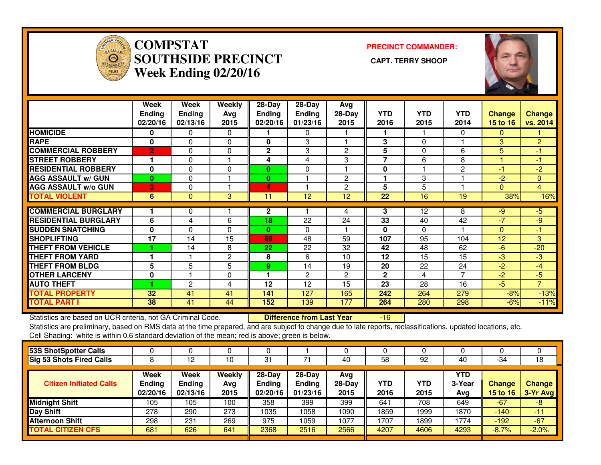

### **COMPSTAT**<br> **SOUTHSIDE**<br> **Week Ending PRECINCT COMMANDER: SOUTHSIDE PRECINCT CAPT. TERRY SHOOPWeek Ending 02/20/16**



|                             | Week<br><b>Ending</b><br>02/20/16 | Week<br><b>Ending</b><br>02/13/16 | Weekly<br>Avg<br>2015 | 28-Day<br><b>Ending</b><br>02/20/16 | $28-Day$<br><b>Ending</b><br>01/23/16 | Avg<br>$28-Day$<br>2015 | <b>YTD</b><br>2016 | <b>YTD</b><br>2015 | <b>YTD</b><br>2014 | <b>Change</b><br>15 to 16 | Change<br>vs. 2014 |
|-----------------------------|-----------------------------------|-----------------------------------|-----------------------|-------------------------------------|---------------------------------------|-------------------------|--------------------|--------------------|--------------------|---------------------------|--------------------|
| <b>HOMICIDE</b>             | 0                                 | 0                                 | 0                     |                                     | 0                                     |                         |                    |                    | 0                  | 0                         |                    |
| <b>RAPE</b>                 | 0                                 | 0                                 | $\Omega$              | 0                                   | 3                                     |                         | 3                  | 0                  |                    | 3                         | $\overline{2}$     |
| <b>ICOMMERCIAL ROBBERY</b>  | $\overline{2}$                    | 0                                 | $\Omega$              | $\mathbf{2}$                        | 3                                     | 2                       | 5                  | 0                  | 6                  | 5                         | -1                 |
| <b>ISTREET ROBBERY</b>      |                                   | 0                                 |                       | 4                                   | 4                                     | 3                       | 7                  | 6                  | 8                  |                           | $-1$               |
| <b>RESIDENTIAL ROBBERY</b>  | $\bf{0}$                          | 0                                 | $\Omega$              | 0                                   | $\mathbf 0$                           |                         | $\bf{0}$           |                    | $\overline{2}$     | $-1$                      | $-2$               |
| <b>AGG ASSAULT w/ GUN</b>   | 0                                 | 0                                 |                       | $\bf{0}$                            |                                       | 2                       | 1                  | 3                  |                    | $-2$                      | $\mathbf{0}$       |
| <b>AGG ASSAULT w/o GUN</b>  | 3                                 | 0                                 |                       | 4                                   |                                       | $\mathbf{2}$            | 5                  | 5                  |                    | $\Omega$                  | $\overline{4}$     |
| <b>TOTAL VIOLENT</b>        | 6                                 | $\mathbf{0}$                      | 3                     | 11                                  | 12                                    | 12                      | 22                 | 16                 | 19                 | 38%                       | 16%                |
|                             |                                   |                                   |                       |                                     |                                       |                         |                    |                    |                    |                           |                    |
| <b>COMMERCIAL BURGLARY</b>  |                                   | 0                                 |                       | 2                                   |                                       | 4                       | 3                  | 12                 | 8                  | $-9$                      | $-5$               |
| <b>RESIDENTIAL BURGLARY</b> | 6                                 | 4                                 | 6                     | 18                                  | 22                                    | 24                      | 33                 | 40                 | 42                 | $-7$                      | $-9$               |
| <b>SUDDEN SNATCHING</b>     | 0                                 | 0                                 | $\Omega$              | $\bf{0}$                            | 0                                     |                         | $\bf{0}$           | 0                  |                    | 0                         | $-1$               |
| <b>SHOPLIFTING</b>          | 17                                | 14                                | 15                    | 69                                  | 48                                    | 59                      | 107                | 95                 | 104                | 12                        | 3                  |
| <b>THEFT FROM VEHICLE</b>   |                                   | 14                                | 8                     | 22                                  | 22                                    | 32                      | 42                 | 48                 | 62                 | $-6$                      | $-20$              |
| <b>THEFT FROM YARD</b>      |                                   |                                   | 2                     | 8                                   | 6                                     | 10                      | 12                 | 15                 | 15                 | $-3$                      | $-3$               |
| <b>THEFT FROM BLDG</b>      | 5                                 | 5                                 | 5                     | 9.                                  | 14                                    | 19                      | 20                 | 22                 | 24                 | $-2$                      | $-4$               |
| <b>OTHER LARCENY</b>        | $\bf{0}$                          |                                   | $\Omega$              | 1                                   | $\overline{2}$                        | 2                       | $\overline{2}$     | 4                  | $\overline{7}$     | $-2$                      | $-5$               |
| <b>AUTO THEFT</b>           |                                   | $\overline{c}$                    | 4                     | 12                                  | 12                                    | 15                      | 23                 | 28                 | 16                 | $-5$                      | $\overline{7}$     |
| <b>TOTAL PROPERTY</b>       | 32                                | 41                                | 41                    | 141                                 | 127                                   | 165                     | 242                | 264                | 279                | $-8%$                     | $-13%$             |
| <b>TOTAL PART I</b>         | 38                                | 41                                | 44                    | 152 <sub>2</sub>                    | 139                                   | 177                     | 264                | 280                | 298                | $-6%$                     | $-11%$             |

Statistics are based on UCR criteria, not GA Criminal Code. **Difference from Last Year** 

Statistics are based on UCR criteria, not GA Criminal Code. **Difference from Last Year Norm 16 Statistics** are based on UCR criteria, not GA Criminal Code. **Difference from Last Year Norm 16 Stati**stications, updated locat Cell Shading: white is within 0.6 standard deviation of the mean; red is above; green is below.

| 53S ShotSpotter Calls           |                                   |                                   |                       |                                        |                                       |                         |             |             |                      |                           |                    |
|---------------------------------|-----------------------------------|-----------------------------------|-----------------------|----------------------------------------|---------------------------------------|-------------------------|-------------|-------------|----------------------|---------------------------|--------------------|
| <b>Sig 53 Shots Fired Calls</b> |                                   | 12                                | 10                    | -31                                    |                                       | 40                      | 58          | 92          | 40                   | -34                       | 18                 |
| <b>Citizen Initiated Calls</b>  | Week<br><b>Ending</b><br>02/20/16 | Week<br><b>Ending</b><br>02/13/16 | Weekly<br>Avg<br>2015 | $28$ -Day<br><b>Endina</b><br>02/20/16 | $28-Day$<br><b>Ending</b><br>01/23/16 | Avg<br>$28-Day$<br>2015 | YTD<br>2016 | YTD<br>2015 | YTD<br>3-Year<br>Avg | Change<br><b>15 to 16</b> | Change<br>3-Yr Avg |
| <b>Midnight Shift</b>           | 105                               | 105                               | 100                   | 358                                    | 399                                   | 399                     | 641         | 708         | 649                  | $-67$                     | -8                 |
| <b>Day Shift</b>                | 278                               | 290                               | 273                   | 1035                                   | 1058                                  | 1090                    | 1859        | 1999        | 1870                 | $-140$                    | $-11$              |
| <b>Afternoon Shift</b>          | 298                               | 231                               | 269                   | 975                                    | 1059                                  | 1077                    | 1707        | 1899        | 1774                 | $-192$                    | $-67$              |
| <b>TOTAL CITIZEN CFS</b>        | 681                               | 626                               | 641                   | 2368                                   | 2516                                  | 2566                    | 4207        | 4606        | 4293                 | $-8.7%$                   | $-2.0%$            |